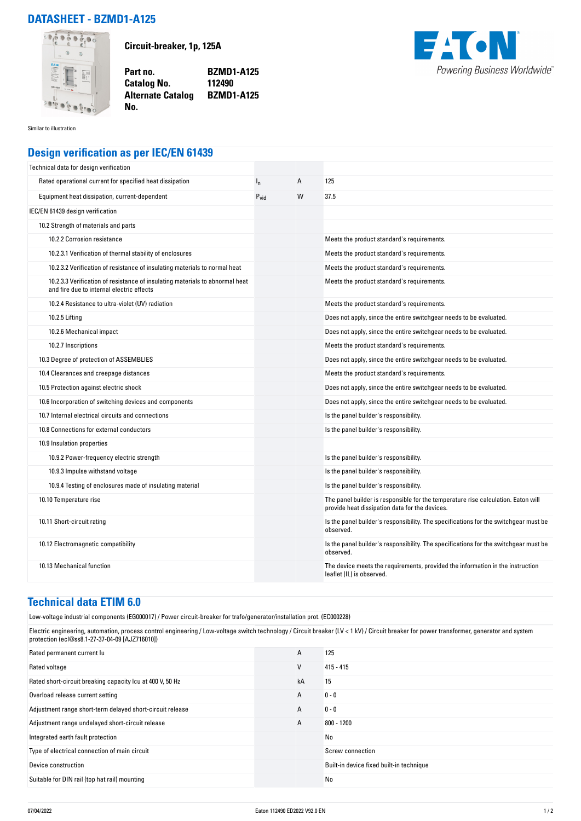## **DATASHEET - BZMD1-A125**



**Circuit-breaker, 1p, 125A**

**Part no. BZMD1-A125 Catalog No. Alternate Catalog BZMD1-A125**



Similar to illustration

## **Design verification as per IEC/EN 61439**

**No.** 

| Technical data for design verification                                                                                    |                  |   |                                                                                                                                     |
|---------------------------------------------------------------------------------------------------------------------------|------------------|---|-------------------------------------------------------------------------------------------------------------------------------------|
| Rated operational current for specified heat dissipation                                                                  | $I_{n}$          | Α | 125                                                                                                                                 |
| Equipment heat dissipation, current-dependent                                                                             | $P_{\text{vid}}$ | W | 37.5                                                                                                                                |
| IEC/EN 61439 design verification                                                                                          |                  |   |                                                                                                                                     |
| 10.2 Strength of materials and parts                                                                                      |                  |   |                                                                                                                                     |
| 10.2.2 Corrosion resistance                                                                                               |                  |   | Meets the product standard's requirements.                                                                                          |
| 10.2.3.1 Verification of thermal stability of enclosures                                                                  |                  |   | Meets the product standard's requirements.                                                                                          |
| 10.2.3.2 Verification of resistance of insulating materials to normal heat                                                |                  |   | Meets the product standard's requirements.                                                                                          |
| 10.2.3.3 Verification of resistance of insulating materials to abnormal heat<br>and fire due to internal electric effects |                  |   | Meets the product standard's requirements.                                                                                          |
| 10.2.4 Resistance to ultra-violet (UV) radiation                                                                          |                  |   | Meets the product standard's requirements.                                                                                          |
| 10.2.5 Lifting                                                                                                            |                  |   | Does not apply, since the entire switchgear needs to be evaluated.                                                                  |
| 10.2.6 Mechanical impact                                                                                                  |                  |   | Does not apply, since the entire switchgear needs to be evaluated.                                                                  |
| 10.2.7 Inscriptions                                                                                                       |                  |   | Meets the product standard's requirements.                                                                                          |
| 10.3 Degree of protection of ASSEMBLIES                                                                                   |                  |   | Does not apply, since the entire switchgear needs to be evaluated.                                                                  |
| 10.4 Clearances and creepage distances                                                                                    |                  |   | Meets the product standard's requirements.                                                                                          |
| 10.5 Protection against electric shock                                                                                    |                  |   | Does not apply, since the entire switchgear needs to be evaluated.                                                                  |
| 10.6 Incorporation of switching devices and components                                                                    |                  |   | Does not apply, since the entire switchgear needs to be evaluated.                                                                  |
| 10.7 Internal electrical circuits and connections                                                                         |                  |   | Is the panel builder's responsibility.                                                                                              |
| 10.8 Connections for external conductors                                                                                  |                  |   | Is the panel builder's responsibility.                                                                                              |
| 10.9 Insulation properties                                                                                                |                  |   |                                                                                                                                     |
| 10.9.2 Power-frequency electric strength                                                                                  |                  |   | Is the panel builder's responsibility.                                                                                              |
| 10.9.3 Impulse withstand voltage                                                                                          |                  |   | Is the panel builder's responsibility.                                                                                              |
| 10.9.4 Testing of enclosures made of insulating material                                                                  |                  |   | Is the panel builder's responsibility.                                                                                              |
| 10.10 Temperature rise                                                                                                    |                  |   | The panel builder is responsible for the temperature rise calculation. Eaton will<br>provide heat dissipation data for the devices. |
| 10.11 Short-circuit rating                                                                                                |                  |   | Is the panel builder's responsibility. The specifications for the switchgear must be<br>observed.                                   |
| 10.12 Electromagnetic compatibility                                                                                       |                  |   | Is the panel builder's responsibility. The specifications for the switchgear must be<br>observed.                                   |
| 10.13 Mechanical function                                                                                                 |                  |   | The device meets the requirements, provided the information in the instruction<br>leaflet (IL) is observed.                         |

## **Technical data ETIM 6.0**

Low-voltage industrial components (EG000017) / Power circuit-breaker for trafo/generator/installation prot. (EC000228)

Electric engineering, automation, process control engineering / Low-voltage switch technology / Circuit breaker (LV < 1 kV) / Circuit breaker for power transformer, generator and system protection (ecl@ss8.1-27-37-04-09 [AJZ716010])

| Rated permanent current lu                                | A  | 125                                      |
|-----------------------------------------------------------|----|------------------------------------------|
| Rated voltage                                             | V  | $415 - 415$                              |
| Rated short-circuit breaking capacity Icu at 400 V, 50 Hz | kA | 15                                       |
| Overload release current setting                          | A  | $0 - 0$                                  |
| Adjustment range short-term delayed short-circuit release | A  | $0 - 0$                                  |
| Adjustment range undelayed short-circuit release          | А  | $800 - 1200$                             |
| Integrated earth fault protection                         |    | No                                       |
| Type of electrical connection of main circuit             |    | Screw connection                         |
| Device construction                                       |    | Built-in device fixed built-in technique |
| Suitable for DIN rail (top hat rail) mounting             |    | No                                       |